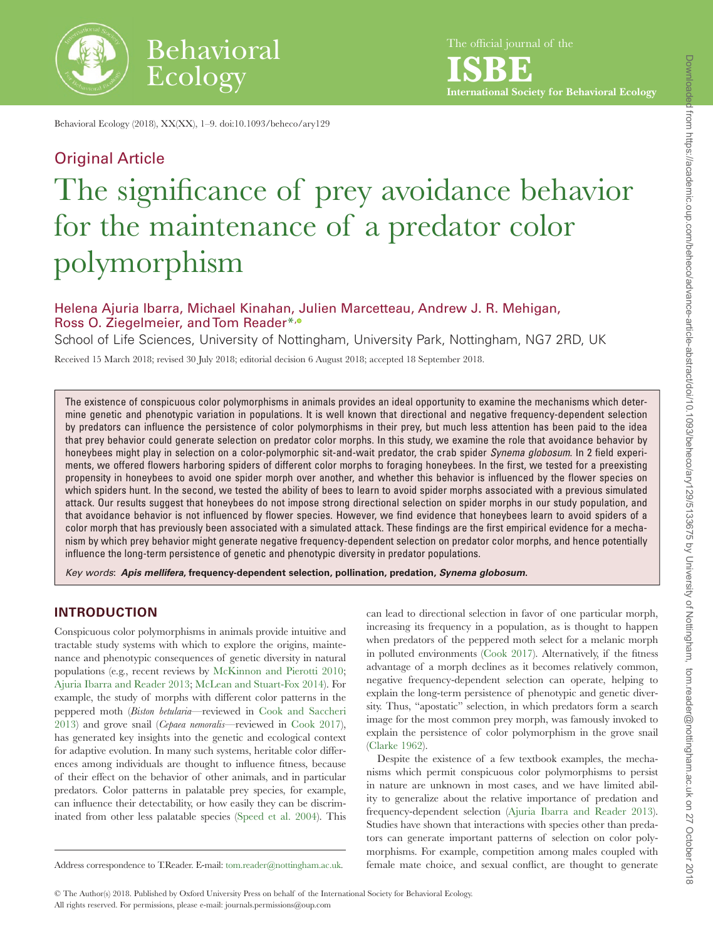

Behavioral Ecology

The official journal of the

**ISBE International Society for Behavioral Ecology**

Behavioral Ecology (2018), XX(XX), 1–9. doi:10.1093/beheco/ary129

# Original Article The significance of prey avoidance behavior for the maintenance of a predator color polymorphism

Helena Ajuria Ibarra, Michael Kinahan, Julien Marcetteau, Andrew J. R. Mehigan, Ross O. Ziegelmeier, and Tom Reader[\\*,](http://orcid.org/0000-0001-7586-8814)<sup>®</sup>

School of Life Sciences, University of Nottingham, University Park, Nottingham, NG7 2RD, UK

Received 15 March 2018; revised 30 July 2018; editorial decision 6 August 2018; accepted 18 September 2018.

The existence of conspicuous color polymorphisms in animals provides an ideal opportunity to examine the mechanisms which determine genetic and phenotypic variation in populations. It is well known that directional and negative frequency-dependent selection by predators can influence the persistence of color polymorphisms in their prey, but much less attention has been paid to the idea that prey behavior could generate selection on predator color morphs. In this study, we examine the role that avoidance behavior by honeybees might play in selection on a color-polymorphic sit-and-wait predator, the crab spider *Synema globosum*. In 2 field experiments, we offered flowers harboring spiders of different color morphs to foraging honeybees. In the first, we tested for a preexisting propensity in honeybees to avoid one spider morph over another, and whether this behavior is influenced by the flower species on which spiders hunt. In the second, we tested the ability of bees to learn to avoid spider morphs associated with a previous simulated attack. Our results suggest that honeybees do not impose strong directional selection on spider morphs in our study population, and that avoidance behavior is not influenced by flower species. However, we find evidence that honeybees learn to avoid spiders of a color morph that has previously been associated with a simulated attack. These findings are the first empirical evidence for a mechanism by which prey behavior might generate negative frequency-dependent selection on predator color morphs, and hence potentially influence the long-term persistence of genetic and phenotypic diversity in predator populations.

*Key words*: *Apis mellifera***, frequency-dependent selection, pollination, predation,** *Synema globosum***.**

# **INTRODUCTION**

Conspicuous color polymorphisms in animals provide intuitive and tractable study systems with which to explore the origins, maintenance and phenotypic consequences of genetic diversity in natural populations (e.g., recent reviews by [McKinnon and Pierotti 2010](#page-8-0); [Ajuria Ibarra and Reader 2013](#page-7-0); [McLean and Stuart-Fox 2014\)](#page-8-1). For example, the study of morphs with different color patterns in the peppered moth (*Biston betularia*—reviewed in [Cook and Saccheri](#page-7-1) [2013](#page-7-1)) and grove snail (*Cepaea nemoralis*—reviewed in [Cook 2017\)](#page-7-2), has generated key insights into the genetic and ecological context for adaptive evolution. In many such systems, heritable color differences among individuals are thought to influence fitness, because of their effect on the behavior of other animals, and in particular predators. Color patterns in palatable prey species, for example, can influence their detectability, or how easily they can be discriminated from other less palatable species ([Speed et al. 2004\)](#page-8-2). This

© The Author(s) 2018. Published by Oxford University Press on behalf of the International Society for Behavioral Ecology. All rights reserved. For permissions, please e-mail: journals.permissions@oup.com

can lead to directional selection in favor of one particular morph, increasing its frequency in a population, as is thought to happen when predators of the peppered moth select for a melanic morph in polluted environments ([Cook 2017\)](#page-7-2). Alternatively, if the fitness advantage of a morph declines as it becomes relatively common, negative frequency-dependent selection can operate, helping to explain the long-term persistence of phenotypic and genetic diversity. Thus, "apostatic" selection, in which predators form a search image for the most common prey morph, was famously invoked to explain the persistence of color polymorphism in the grove snail ([Clarke 1962](#page-7-3)).

Despite the existence of a few textbook examples, the mechanisms which permit conspicuous color polymorphisms to persist in nature are unknown in most cases, and we have limited ability to generalize about the relative importance of predation and frequency-dependent selection ([Ajuria Ibarra and Reader 2013\)](#page-7-0). Studies have shown that interactions with species other than predators can generate important patterns of selection on color polymorphisms. For example, competition among males coupled with Address correspondence to T.Reader. E-mail: [tom.reader@nottingham.ac.uk.](mailto:tom.reader@nottingham.ac.uk?subject=) female mate choice, and sexual conflict, are thought to generate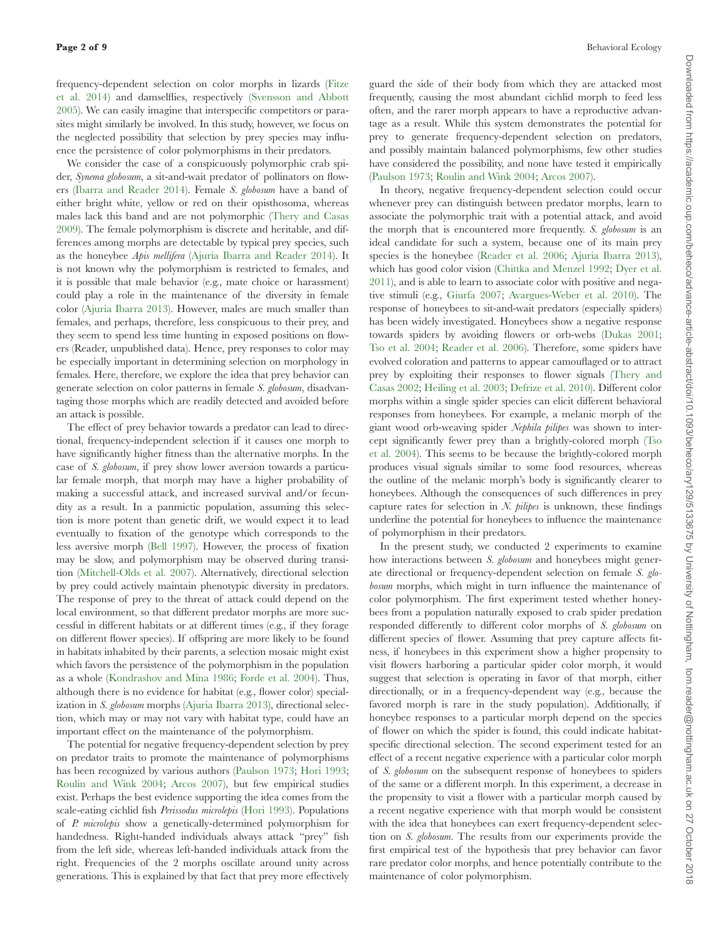frequency-dependent selection on color morphs in lizards [\(Fitze](#page-7-4)  [et al. 2014\)](#page-7-4) and damselflies, respectively ([Svensson and Abbott](#page-8-3)  [2005\)](#page-8-3). We can easily imagine that interspecific competitors or parasites might similarly be involved. In this study, however, we focus on the neglected possibility that selection by prey species may influence the persistence of color polymorphisms in their predators.

We consider the case of a conspicuously polymorphic crab spider, *Synema globosum*, a sit-and-wait predator of pollinators on flowers ([Ibarra and Reader 2014](#page-8-4)). Female *S. globosum* have a band of either bright white, yellow or red on their opisthosoma, whereas males lack this band and are not polymorphic [\(Thery and Casas](#page-8-5)  [2009\)](#page-8-5). The female polymorphism is discrete and heritable, and differences among morphs are detectable by typical prey species, such as the honeybee *Apis mellifera* ([Ajuria Ibarra and Reader 2014\)](#page-7-5). It is not known why the polymorphism is restricted to females, and it is possible that male behavior (e.g., mate choice or harassment) could play a role in the maintenance of the diversity in female color [\(Ajuria Ibarra 2013](#page-7-6)). However, males are much smaller than females, and perhaps, therefore, less conspicuous to their prey, and they seem to spend less time hunting in exposed positions on flowers (Reader, unpublished data). Hence, prey responses to color may be especially important in determining selection on morphology in females. Here, therefore, we explore the idea that prey behavior can generate selection on color patterns in female *S. globosum*, disadvantaging those morphs which are readily detected and avoided before an attack is possible.

The effect of prey behavior towards a predator can lead to directional, frequency-independent selection if it causes one morph to have significantly higher fitness than the alternative morphs. In the case of *S. globosum*, if prey show lower aversion towards a particular female morph, that morph may have a higher probability of making a successful attack, and increased survival and/or fecundity as a result. In a panmictic population, assuming this selection is more potent than genetic drift, we would expect it to lead eventually to fixation of the genotype which corresponds to the less aversive morph [\(Bell 1997\)](#page-7-7). However, the process of fixation may be slow, and polymorphism may be observed during transition ([Mitchell-Olds et al. 2007\)](#page-8-6). Alternatively, directional selection by prey could actively maintain phenotypic diversity in predators. The response of prey to the threat of attack could depend on the local environment, so that different predator morphs are more successful in different habitats or at different times (e.g., if they forage on different flower species). If offspring are more likely to be found in habitats inhabited by their parents, a selection mosaic might exist which favors the persistence of the polymorphism in the population as a whole ([Kondrashov and Mina 1986;](#page-8-7) [Forde et al. 2004](#page-7-8)). Thus, although there is no evidence for habitat (e.g., flower color) specialization in *S. globosum* morphs ([Ajuria Ibarra 2013](#page-7-6)), directional selection, which may or may not vary with habitat type, could have an important effect on the maintenance of the polymorphism.

The potential for negative frequency-dependent selection by prey on predator traits to promote the maintenance of polymorphisms has been recognized by various authors [\(Paulson 1973](#page-8-8); [Hori 1993](#page-7-9); [Roulin and Wink 2004](#page-8-9); [Arcos 2007\)](#page-7-10), but few empirical studies exist. Perhaps the best evidence supporting the idea comes from the scale-eating cichlid fish *Perissodus microlepis* [\(Hori 1993](#page-7-9)). Populations of *P. microlepis* show a genetically-determined polymorphism for handedness. Right-handed individuals always attack "prey" fish from the left side, whereas left-handed individuals attack from the right. Frequencies of the 2 morphs oscillate around unity across generations. This is explained by that fact that prey more effectively guard the side of their body from which they are attacked most frequently, causing the most abundant cichlid morph to feed less often, and the rarer morph appears to have a reproductive advantage as a result. While this system demonstrates the potential for prey to generate frequency-dependent selection on predators, and possibly maintain balanced polymorphisms, few other studies have considered the possibility, and none have tested it empirically ([Paulson 1973](#page-8-8); [Roulin and Wink 2004](#page-8-9); [Arcos 2007\)](#page-7-10).

In theory, negative frequency-dependent selection could occur whenever prey can distinguish between predator morphs, learn to associate the polymorphic trait with a potential attack, and avoid the morph that is encountered more frequently. *S. globosum* is an ideal candidate for such a system, because one of its main prey species is the honeybee (Reader et al. 2006; [Ajuria Ibarra 2013](#page-7-6)), which has good color vision [\(Chittka and Menzel 1992;](#page-7-11) [Dyer et al.](#page-7-12) [2011\)](#page-7-12), and is able to learn to associate color with positive and negative stimuli (e.g., [Giurfa 2007;](#page-7-13) [Avargues-Weber et al. 2010](#page-7-14)). The response of honeybees to sit-and-wait predators (especially spiders) has been widely investigated. Honeybees show a negative response towards spiders by avoiding flowers or orb-webs [\(Dukas 2001](#page-7-15); [Tso et al. 2004;](#page-8-11) [Reader et al. 2006\)](#page-8-10). Therefore, some spiders have evolved coloration and patterns to appear camouflaged or to attract prey by exploiting their responses to flower signals ([Thery and](#page-8-12) [Casas 2002;](#page-8-12) [Heiling et al. 2003](#page-7-16); [Defrize et al. 2010\)](#page-7-17). Different color morphs within a single spider species can elicit different behavioral responses from honeybees. For example, a melanic morph of the giant wood orb-weaving spider *Nephila pilipes* was shown to intercept significantly fewer prey than a brightly-colored morph ([Tso](#page-8-11) [et al. 2004](#page-8-11)). This seems to be because the brightly-colored morph produces visual signals similar to some food resources, whereas the outline of the melanic morph's body is significantly clearer to honeybees. Although the consequences of such differences in prey capture rates for selection in *N. pilipes* is unknown, these findings underline the potential for honeybees to influence the maintenance of polymorphism in their predators.

In the present study, we conducted 2 experiments to examine how interactions between *S. globosum* and honeybees might generate directional or frequency-dependent selection on female *S. globosum* morphs, which might in turn influence the maintenance of color polymorphism. The first experiment tested whether honeybees from a population naturally exposed to crab spider predation responded differently to different color morphs of *S. globosum* on different species of flower. Assuming that prey capture affects fitness, if honeybees in this experiment show a higher propensity to visit flowers harboring a particular spider color morph, it would suggest that selection is operating in favor of that morph, either directionally, or in a frequency-dependent way (e.g., because the favored morph is rare in the study population). Additionally, if honeybee responses to a particular morph depend on the species of flower on which the spider is found, this could indicate habitatspecific directional selection. The second experiment tested for an effect of a recent negative experience with a particular color morph of *S. globosum* on the subsequent response of honeybees to spiders of the same or a different morph. In this experiment, a decrease in the propensity to visit a flower with a particular morph caused by a recent negative experience with that morph would be consistent with the idea that honeybees can exert frequency-dependent selection on *S. globosum*. The results from our experiments provide the first empirical test of the hypothesis that prey behavior can favor rare predator color morphs, and hence potentially contribute to the maintenance of color polymorphism.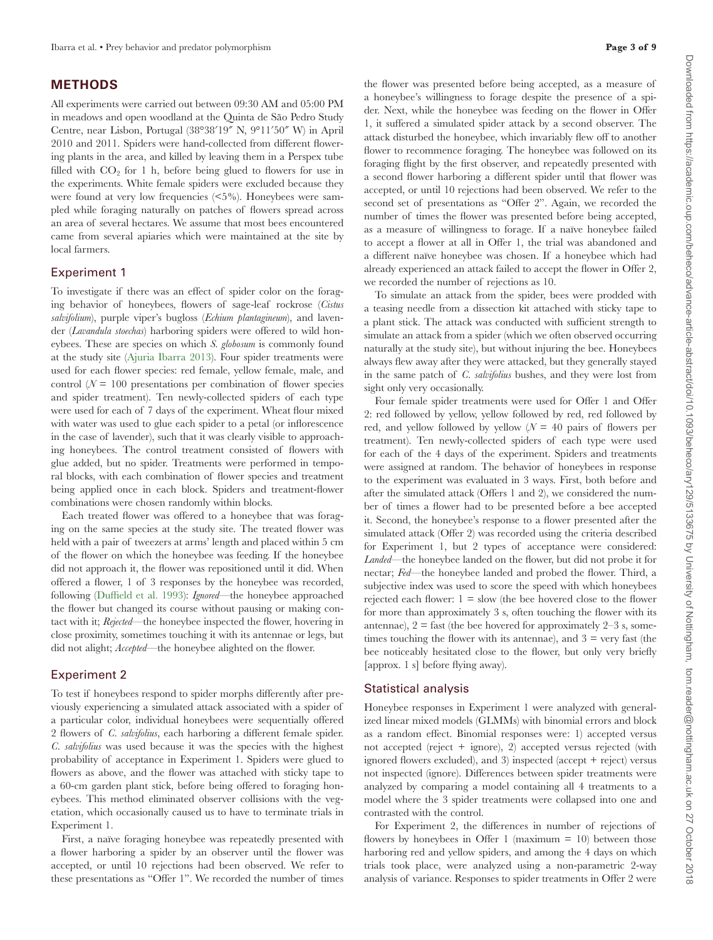# **METHODS**

All experiments were carried out between 09:30 AM and 05:00 PM in meadows and open woodland at the Quinta de São Pedro Study Centre, near Lisbon, Portugal (38°38′19″ N, 9°11′50″ W) in April 2010 and 2011. Spiders were hand-collected from different flowering plants in the area, and killed by leaving them in a Perspex tube filled with  $CO<sub>2</sub>$  for 1 h, before being glued to flowers for use in the experiments. White female spiders were excluded because they were found at very low frequencies (<5%). Honeybees were sampled while foraging naturally on patches of flowers spread across an area of several hectares. We assume that most bees encountered came from several apiaries which were maintained at the site by local farmers.

# Experiment 1

To investigate if there was an effect of spider color on the foraging behavior of honeybees, flowers of sage-leaf rockrose (*Cistus salvifolium*), purple viper's bugloss (*Echium plantagineum*), and lavender (*Lavandula stoechas*) harboring spiders were offered to wild honeybees. These are species on which *S. globosum* is commonly found at the study site ([Ajuria Ibarra 2013\)](#page-7-6). Four spider treatments were used for each flower species: red female, yellow female, male, and control  $(N = 100)$  presentations per combination of flower species and spider treatment). Ten newly-collected spiders of each type were used for each of 7 days of the experiment. Wheat flour mixed with water was used to glue each spider to a petal (or inflorescence in the case of lavender), such that it was clearly visible to approaching honeybees. The control treatment consisted of flowers with glue added, but no spider. Treatments were performed in temporal blocks, with each combination of flower species and treatment being applied once in each block. Spiders and treatment-flower combinations were chosen randomly within blocks.

Each treated flower was offered to a honeybee that was foraging on the same species at the study site. The treated flower was held with a pair of tweezers at arms' length and placed within 5 cm of the flower on which the honeybee was feeding. If the honeybee did not approach it, the flower was repositioned until it did. When offered a flower, 1 of 3 responses by the honeybee was recorded, following ([Duffield et al. 1993\)](#page-7-18): *Ignored*—the honeybee approached the flower but changed its course without pausing or making contact with it; *Rejected*—the honeybee inspected the flower, hovering in close proximity, sometimes touching it with its antennae or legs, but did not alight; *Accepted*—the honeybee alighted on the flower.

# Experiment 2

To test if honeybees respond to spider morphs differently after previously experiencing a simulated attack associated with a spider of a particular color, individual honeybees were sequentially offered 2 flowers of *C. salvifolius*, each harboring a different female spider. *C. salvifolius* was used because it was the species with the highest probability of acceptance in Experiment 1. Spiders were glued to flowers as above, and the flower was attached with sticky tape to a 60-cm garden plant stick, before being offered to foraging honeybees. This method eliminated observer collisions with the vegetation, which occasionally caused us to have to terminate trials in Experiment 1.

First, a naïve foraging honeybee was repeatedly presented with a flower harboring a spider by an observer until the flower was accepted, or until 10 rejections had been observed. We refer to these presentations as "Offer 1". We recorded the number of times the flower was presented before being accepted, as a measure of a honeybee's willingness to forage despite the presence of a spider. Next, while the honeybee was feeding on the flower in Offer 1, it suffered a simulated spider attack by a second observer. The attack disturbed the honeybee, which invariably flew off to another flower to recommence foraging. The honeybee was followed on its foraging flight by the first observer, and repeatedly presented with a second flower harboring a different spider until that flower was accepted, or until 10 rejections had been observed. We refer to the second set of presentations as "Offer 2". Again, we recorded the number of times the flower was presented before being accepted, as a measure of willingness to forage. If a naïve honeybee failed to accept a flower at all in Offer 1, the trial was abandoned and a different naïve honeybee was chosen. If a honeybee which had already experienced an attack failed to accept the flower in Offer 2, we recorded the number of rejections as 10.

To simulate an attack from the spider, bees were prodded with a teasing needle from a dissection kit attached with sticky tape to a plant stick. The attack was conducted with sufficient strength to simulate an attack from a spider (which we often observed occurring naturally at the study site), but without injuring the bee. Honeybees always flew away after they were attacked, but they generally stayed in the same patch of *C. salvifolius* bushes, and they were lost from sight only very occasionally.

Four female spider treatments were used for Offer 1 and Offer 2: red followed by yellow, yellow followed by red, red followed by red, and yellow followed by yellow  $(N = 40)$  pairs of flowers per treatment). Ten newly-collected spiders of each type were used for each of the 4 days of the experiment. Spiders and treatments were assigned at random. The behavior of honeybees in response to the experiment was evaluated in 3 ways. First, both before and after the simulated attack (Offers 1 and 2), we considered the number of times a flower had to be presented before a bee accepted it. Second, the honeybee's response to a flower presented after the simulated attack (Offer 2) was recorded using the criteria described for Experiment 1, but 2 types of acceptance were considered: *Landed*—the honeybee landed on the flower, but did not probe it for nectar; *Fed*—the honeybee landed and probed the flower. Third, a subjective index was used to score the speed with which honeybees rejected each flower:  $1 =$  slow (the bee hovered close to the flower for more than approximately 3 s, often touching the flower with its antennae),  $2 =$  fast (the bee hovered for approximately  $2-3$  s, sometimes touching the flower with its antennae), and  $3 = \text{very fast}$  (the bee noticeably hesitated close to the flower, but only very briefly [approx. 1 s] before flying away).

## Statistical analysis

Honeybee responses in Experiment 1 were analyzed with generalized linear mixed models (GLMMs) with binomial errors and block as a random effect. Binomial responses were: 1) accepted versus not accepted (reject + ignore), 2) accepted versus rejected (with ignored flowers excluded), and 3) inspected (accept + reject) versus not inspected (ignore). Differences between spider treatments were analyzed by comparing a model containing all 4 treatments to a model where the 3 spider treatments were collapsed into one and contrasted with the control.

For Experiment 2, the differences in number of rejections of flowers by honeybees in Offer 1 (maximum  $= 10$ ) between those harboring red and yellow spiders, and among the 4 days on which trials took place, were analyzed using a non-parametric 2-way analysis of variance. Responses to spider treatments in Offer 2 were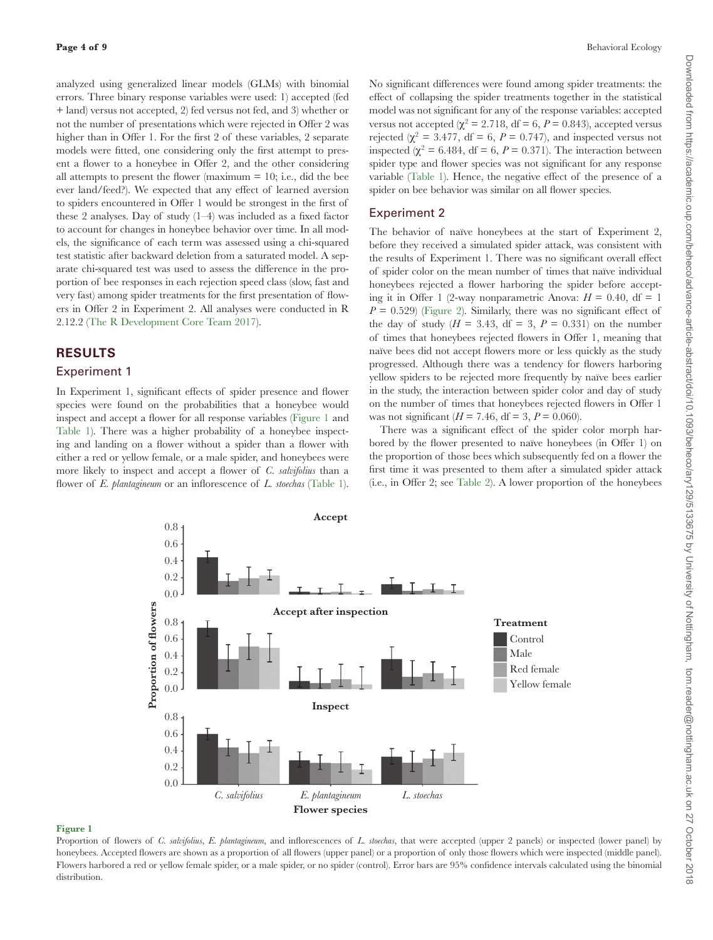analyzed using generalized linear models (GLMs) with binomial errors. Three binary response variables were used: 1) accepted (fed + land) versus not accepted, 2) fed versus not fed, and 3) whether or not the number of presentations which were rejected in Offer 2 was higher than in Offer 1. For the first 2 of these variables, 2 separate models were fitted, one considering only the first attempt to present a flower to a honeybee in Offer 2, and the other considering all attempts to present the flower (maximum  $= 10$ ; i.e., did the bee ever land/feed?). We expected that any effect of learned aversion to spiders encountered in Offer 1 would be strongest in the first of these 2 analyses. Day of study (1–4) was included as a fixed factor to account for changes in honeybee behavior over time. In all models, the significance of each term was assessed using a chi-squared test statistic after backward deletion from a saturated model. A separate chi-squared test was used to assess the difference in the proportion of bee responses in each rejection speed class (slow, fast and very fast) among spider treatments for the first presentation of flowers in Offer 2 in Experiment 2. All analyses were conducted in R 2.12.2 [\(The R Development Core Team 2017](#page-8-13)).

# **RESULTS**

# Experiment 1

In Experiment 1, significant effects of spider presence and flower species were found on the probabilities that a honeybee would inspect and accept a flower for all response variables ([Figure 1](#page-3-0) and [Table 1\)](#page-4-0). There was a higher probability of a honeybee inspecting and landing on a flower without a spider than a flower with either a red or yellow female, or a male spider, and honeybees were more likely to inspect and accept a flower of *C. salvifolius* than a flower of *E. plantagineum* or an inflorescence of *L. stoechas* ([Table 1](#page-4-0)). No significant differences were found among spider treatments: the effect of collapsing the spider treatments together in the statistical model was not significant for any of the response variables: accepted versus not accepted ( $\chi^2$  = 2.718, df = 6, *P* = 0.843), accepted versus rejected ( $\chi^2 = 3.477$ , df = 6, P = 0.747), and inspected versus not inspected ( $\chi^2$  = 6.484, df = 6, *P* = 0.371). The interaction between spider type and flower species was not significant for any response variable ([Table 1\)](#page-4-0). Hence, the negative effect of the presence of a spider on bee behavior was similar on all flower species.

# Experiment 2

The behavior of naïve honeybees at the start of Experiment 2, before they received a simulated spider attack, was consistent with the results of Experiment 1. There was no significant overall effect of spider color on the mean number of times that naïve individual honeybees rejected a flower harboring the spider before accepting it in Offer 1 (2-way nonparametric Anova:  $H = 0.40$ , df = 1  $P = 0.529$  (Figure 2). Similarly, there was no significant effect of the day of study  $(H = 3.43, df = 3, P = 0.331)$  on the number of times that honeybees rejected flowers in Offer 1, meaning that naïve bees did not accept flowers more or less quickly as the study progressed. Although there was a tendency for flowers harboring yellow spiders to be rejected more frequently by naïve bees earlier in the study, the interaction between spider color and day of study on the number of times that honeybees rejected flowers in Offer 1 was not significant ( $H = 7.46$ , df = 3,  $P = 0.060$ ).

There was a significant effect of the spider color morph harbored by the flower presented to naïve honeybees (in Offer 1) on the proportion of those bees which subsequently fed on a flower the first time it was presented to them after a simulated spider attack (i.e., in Offer 2; see [Table 2](#page-5-0)). A lower proportion of the honeybees



#### <span id="page-3-0"></span>Figure 1

Proportion of flowers of *C. salvifolius*, *E. plantagineum*, and inflorescences of *L. stoechas*, that were accepted (upper 2 panels) or inspected (lower panel) by honeybees. Accepted flowers are shown as a proportion of all flowers (upper panel) or a proportion of only those flowers which were inspected (middle panel). Flowers harbored a red or yellow female spider, or a male spider, or no spider (control). Error bars are 95% confidence intervals calculated using the binomial distribution.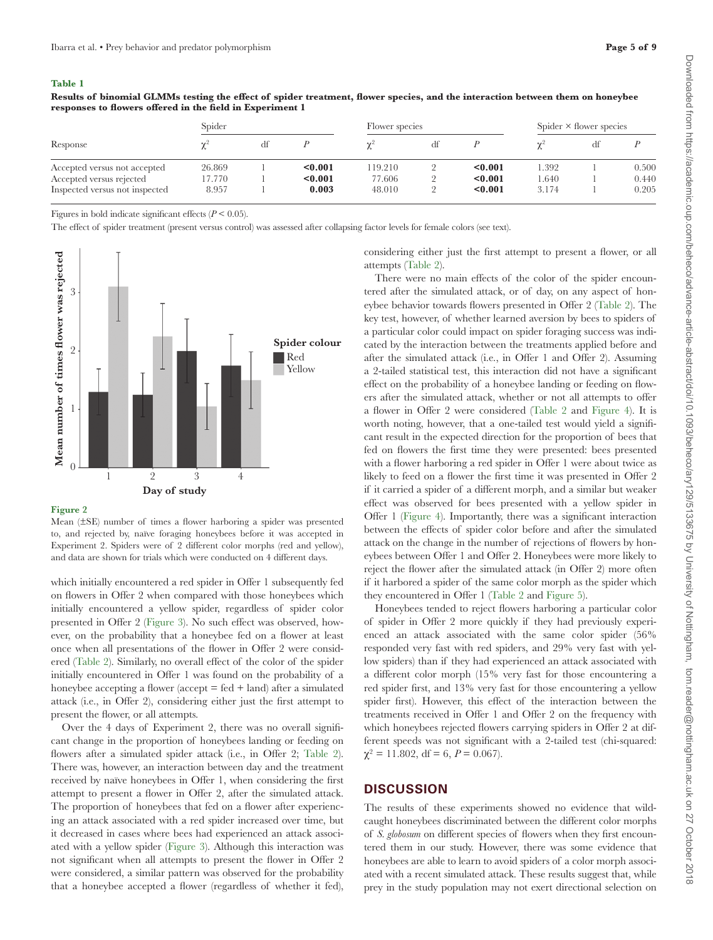## <span id="page-4-0"></span>**Table 1**

**Results of binomial GLMMs testing the effect of spider treatment, flower species, and the interaction between them on honeybee responses to flowers offered in the field in Experiment 1**

|                                | Spider |    |         | Flower species |    | Spider $\times$ flower species |       |    |       |
|--------------------------------|--------|----|---------|----------------|----|--------------------------------|-------|----|-------|
| Response                       |        | df |         |                | di |                                |       | dt |       |
| Accepted versus not accepted   | 26.869 |    | $0.001$ | 119.210        |    | $0.001$                        | .392  |    | 0.500 |
| Accepted versus rejected       | 17.770 |    | $0.001$ | 77.606         |    | $0.001$                        | .640  |    | 0.440 |
| Inspected versus not inspected | 8.957  |    | 0.003   | 48.010         |    | $0.001$                        | 3.174 |    | 0.205 |

Figures in bold indicate significant effects  $(P < 0.05)$ .

The effect of spider treatment (present versus control) was assessed after collapsing factor levels for female colors (see text).



#### <span id="page-4-1"></span>Figure 2

Mean (±SE) number of times a flower harboring a spider was presented to, and rejected by, naïve foraging honeybees before it was accepted in Experiment 2. Spiders were of 2 different color morphs (red and yellow), and data are shown for trials which were conducted on 4 different days.

which initially encountered a red spider in Offer 1 subsequently fed on flowers in Offer 2 when compared with those honeybees which initially encountered a yellow spider, regardless of spider color presented in Offer 2 ([Figure 3](#page-5-1)). No such effect was observed, however, on the probability that a honeybee fed on a flower at least once when all presentations of the flower in Offer 2 were considered [\(Table 2\)](#page-5-0). Similarly, no overall effect of the color of the spider initially encountered in Offer 1 was found on the probability of a honeybee accepting a flower ( $accept = fed + land$ ) after a simulated attack (i.e., in Offer 2), considering either just the first attempt to present the flower, or all attempts.

Over the 4 days of Experiment 2, there was no overall significant change in the proportion of honeybees landing or feeding on flowers after a simulated spider attack (i.e., in Offer 2; [Table 2\)](#page-5-0). There was, however, an interaction between day and the treatment received by naïve honeybees in Offer 1, when considering the first attempt to present a flower in Offer 2, after the simulated attack. The proportion of honeybees that fed on a flower after experiencing an attack associated with a red spider increased over time, but it decreased in cases where bees had experienced an attack associated with a yellow spider ([Figure 3\)](#page-5-1). Although this interaction was not significant when all attempts to present the flower in Offer 2 were considered, a similar pattern was observed for the probability that a honeybee accepted a flower (regardless of whether it fed),

considering either just the first attempt to present a flower, or all attempts ([Table 2](#page-5-0)).

There were no main effects of the color of the spider encountered after the simulated attack, or of day, on any aspect of honeybee behavior towards flowers presented in Offer 2 [\(Table 2](#page-5-0)). The key test, however, of whether learned aversion by bees to spiders of a particular color could impact on spider foraging success was indicated by the interaction between the treatments applied before and after the simulated attack (i.e., in Offer 1 and Offer 2). Assuming a 2-tailed statistical test, this interaction did not have a significant effect on the probability of a honeybee landing or feeding on flowers after the simulated attack, whether or not all attempts to offer a flower in Offer 2 were considered ([Table 2](#page-5-0) and [Figure 4](#page-6-0)). It is worth noting, however, that a one-tailed test would yield a significant result in the expected direction for the proportion of bees that fed on flowers the first time they were presented: bees presented with a flower harboring a red spider in Offer 1 were about twice as likely to feed on a flower the first time it was presented in Offer 2 if it carried a spider of a different morph, and a similar but weaker effect was observed for bees presented with a yellow spider in Offer 1 ([Figure 4\)](#page-6-0). Importantly, there was a significant interaction between the effects of spider color before and after the simulated attack on the change in the number of rejections of flowers by honeybees between Offer 1 and Offer 2. Honeybees were more likely to reject the flower after the simulated attack (in Offer 2) more often if it harbored a spider of the same color morph as the spider which they encountered in Offer 1 [\(Table 2](#page-5-0) and [Figure 5](#page-6-1)).

Honeybees tended to reject flowers harboring a particular color of spider in Offer 2 more quickly if they had previously experienced an attack associated with the same color spider (56% responded very fast with red spiders, and 29% very fast with yellow spiders) than if they had experienced an attack associated with a different color morph (15% very fast for those encountering a red spider first, and 13% very fast for those encountering a yellow spider first). However, this effect of the interaction between the treatments received in Offer 1 and Offer 2 on the frequency with which honeybees rejected flowers carrying spiders in Offer 2 at different speeds was not significant with a 2-tailed test (chi-squared:  $\chi^2 = 11.802$ , df = 6,  $P = 0.067$ ).

# **DISCUSSION**

The results of these experiments showed no evidence that wildcaught honeybees discriminated between the different color morphs of *S. globosum* on different species of flowers when they first encountered them in our study. However, there was some evidence that honeybees are able to learn to avoid spiders of a color morph associated with a recent simulated attack. These results suggest that, while prey in the study population may not exert directional selection on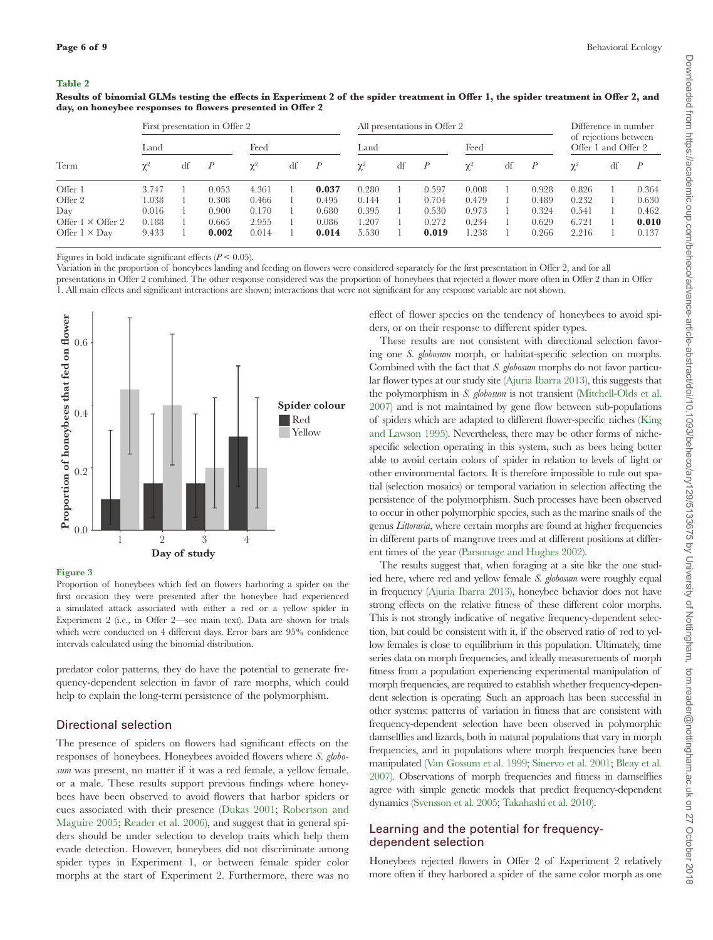### <span id="page-5-0"></span>**Table 2**

**Results of binomial GLMs testing the effects in Experiment 2 of the spider treatment in Offer 1, the spider treatment in Offer 2, and day, on honeybee responses to flowers presented in Offer 2**

|                          | First presentation in Offer 2 |    |       |       |    | All presentations in Offer 2 |          |    |                  |       |    | Difference in number                         |          |    |                |
|--------------------------|-------------------------------|----|-------|-------|----|------------------------------|----------|----|------------------|-------|----|----------------------------------------------|----------|----|----------------|
| Term                     | Land                          |    |       | Feed  |    | Land                         |          |    | Feed             |       |    | of rejections between<br>Offer 1 and Offer 2 |          |    |                |
|                          | $\mathbf{v}^2$                | df |       | χź    | df | $\boldsymbol{P}$             | $\chi^2$ | df | $\boldsymbol{P}$ |       | df |                                              | $\chi^2$ | df | $\overline{P}$ |
| Offer 1                  | 3.747                         |    | 0.053 | 4.361 |    | 0.037                        | 0.280    |    | 0.597            | 0.008 |    | 0.928                                        | 0.826    |    | 0.364          |
| Offer 2                  | .038                          |    | 0.308 | 0.466 |    | 0.495                        | 0.144    |    | 0.704            | 0.479 |    | 0.489                                        | 0.232    |    | 0.630          |
| Day                      | 0.016                         |    | 0.900 | 0.170 |    | 0.680                        | 0.395    |    | 0.530            | 0.973 |    | 0.324                                        | 0.541    |    | 0.462          |
| Offer $1 \times$ Offer 2 | 0.188                         |    | 0.665 | 2.955 |    | 0.086                        | 1.207    |    | 0.272            | 0.234 |    | 0.629                                        | 6.721    |    | 0.010          |
| Offer $1 \times$ Day     | 9.433                         |    | 0.002 | 0.014 |    | 0.014                        | 5.530    |    | 0.019            | 1.238 |    | 0.266                                        | 2.216    |    | 0.137          |

Figures in bold indicate significant effects  $(P < 0.05)$ .

Variation in the proportion of honeybees landing and feeding on flowers were considered separately for the first presentation in Offer 2, and for all

presentations in Offer 2 combined. The other response considered was the proportion of honeybees that rejected a flower more often in Offer 2 than in Offer 1. All main effects and significant interactions are shown; interactions that were not significant for any response variable are not shown.



#### <span id="page-5-1"></span>Figure 3

Proportion of honeybees which fed on flowers harboring a spider on the first occasion they were presented after the honeybee had experienced a simulated attack associated with either a red or a yellow spider in Experiment 2 (i.e., in Offer 2—see main text). Data are shown for trials which were conducted on 4 different days. Error bars are 95% confidence intervals calculated using the binomial distribution.

predator color patterns, they do have the potential to generate frequency-dependent selection in favor of rare morphs, which could help to explain the long-term persistence of the polymorphism.

## Directional selection

The presence of spiders on flowers had significant effects on the responses of honeybees. Honeybees avoided flowers where *S. globosum* was present, no matter if it was a red female, a yellow female, or a male. These results support previous findings where honeybees have been observed to avoid flowers that harbor spiders or cues associated with their presence ([Dukas 2001](#page-7-15); [Robertson and](#page-8-14)  [Maguire 2005](#page-8-14); [Reader et al. 2006\)](#page-8-10), and suggest that in general spiders should be under selection to develop traits which help them evade detection. However, honeybees did not discriminate among spider types in Experiment 1, or between female spider color morphs at the start of Experiment 2. Furthermore, there was no effect of flower species on the tendency of honeybees to avoid spiders, or on their response to different spider types.

These results are not consistent with directional selection favoring one *S. globosum* morph, or habitat-specific selection on morphs. Combined with the fact that *S. globosum* morphs do not favor particular flower types at our study site [\(Ajuria Ibarra 2013](#page-7-6)), this suggests that the polymorphism in *S. globosum* is not transient [\(Mitchell-Olds et al.](#page-8-6) [2007](#page-8-6)) and is not maintained by gene flow between sub-populations of spiders which are adapted to different flower-specific niches ([King](#page-8-15) [and Lawson 1995\)](#page-8-15). Nevertheless, there may be other forms of nichespecific selection operating in this system, such as bees being better able to avoid certain colors of spider in relation to levels of light or other environmental factors. It is therefore impossible to rule out spatial (selection mosaics) or temporal variation in selection affecting the persistence of the polymorphism. Such processes have been observed to occur in other polymorphic species, such as the marine snails of the genus *Littoraria*, where certain morphs are found at higher frequencies in different parts of mangrove trees and at different positions at different times of the year [\(Parsonage and Hughes 2002](#page-8-16)).

The results suggest that, when foraging at a site like the one studied here, where red and yellow female *S. globosum* were roughly equal in frequency [\(Ajuria Ibarra 2013\)](#page-7-6), honeybee behavior does not have strong effects on the relative fitness of these different color morphs. This is not strongly indicative of negative frequency-dependent selection, but could be consistent with it, if the observed ratio of red to yellow females is close to equilibrium in this population. Ultimately, time series data on morph frequencies, and ideally measurements of morph fitness from a population experiencing experimental manipulation of morph frequencies, are required to establish whether frequency-dependent selection is operating. Such an approach has been successful in other systems: patterns of variation in fitness that are consistent with frequency-dependent selection have been observed in polymorphic damselflies and lizards, both in natural populations that vary in morph frequencies, and in populations where morph frequencies have been manipulated ([Van Gossum et al. 1999](#page-8-17); [Sinervo et al. 2001;](#page-8-18) [Bleay et al.](#page-7-19) [2007\)](#page-7-19). Observations of morph frequencies and fitness in damselflies agree with simple genetic models that predict frequency-dependent dynamics ([Svensson et al. 2005](#page-8-19); [Takahashi et al. 2010\)](#page-8-20).

# Learning and the potential for frequencydependent selection

Honeybees rejected flowers in Offer 2 of Experiment 2 relatively more often if they harbored a spider of the same color morph as one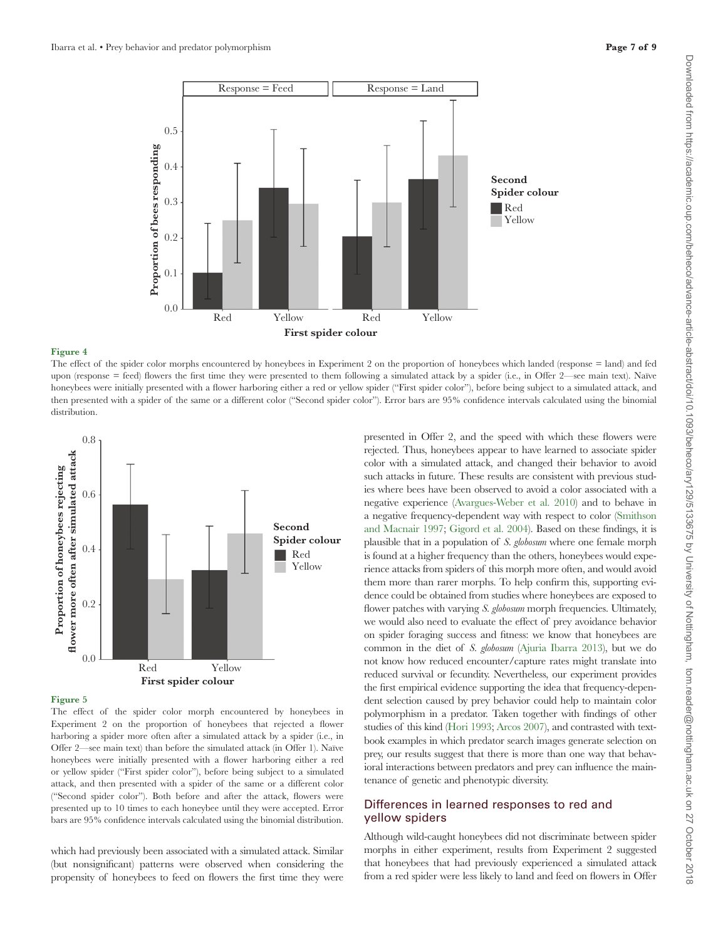

### Figure 4

The effect of the spider color morphs encountered by honeybees in Experiment 2 on the proportion of honeybees which landed (response = land) and fed upon (response  $=$  feed) flowers the first time they were presented to them following a simulated attack by a spider (i.e., in Offer  $2$ —see main text). Naïve honeybees were initially presented with a flower harboring either a red or yellow spider ("First spider color"), before being subject to a simulated attack, and then presented with a spider of the same or a different color ("Second spider color"). Error bars are 95% confidence intervals calculated using the binomial distribution.



## <span id="page-6-1"></span>Figure 5

The effect of the spider color morph encountered by honeybees in Experiment 2 on the proportion of honeybees that rejected a flower harboring a spider more often after a simulated attack by a spider (i.e., in Offer 2—see main text) than before the simulated attack (in Offer 1). Naïve honeybees were initially presented with a flower harboring either a red or yellow spider ("First spider color"), before being subject to a simulated attack, and then presented with a spider of the same or a different color ("Second spider color"). Both before and after the attack, flowers were presented up to 10 times to each honeybee until they were accepted. Error bars are 95% confidence intervals calculated using the binomial distribution.

which had previously been associated with a simulated attack. Similar (but nonsignificant) patterns were observed when considering the propensity of honeybees to feed on flowers the first time they were

<span id="page-6-0"></span>presented in Offer 2, and the speed with which these flowers were rejected. Thus, honeybees appear to have learned to associate spider color with a simulated attack, and changed their behavior to avoid such attacks in future. These results are consistent with previous studies where bees have been observed to avoid a color associated with a negative experience [\(Avargues-Weber et al. 2010](#page-7-14)) and to behave in a negative frequency-dependent way with respect to color [\(Smithson](#page-8-21) [and Macnair 1997;](#page-8-21) [Gigord et al. 2004\)](#page-7-20). Based on these findings, it is plausible that in a population of *S. globosum* where one female morph is found at a higher frequency than the others, honeybees would experience attacks from spiders of this morph more often, and would avoid them more than rarer morphs. To help confirm this, supporting evidence could be obtained from studies where honeybees are exposed to flower patches with varying *S. globosum* morph frequencies. Ultimately, we would also need to evaluate the effect of prey avoidance behavior on spider foraging success and fitness: we know that honeybees are common in the diet of *S. globosum* [\(Ajuria Ibarra 2013](#page-7-6)), but we do not know how reduced encounter/capture rates might translate into reduced survival or fecundity. Nevertheless, our experiment provides the first empirical evidence supporting the idea that frequency-dependent selection caused by prey behavior could help to maintain color polymorphism in a predator. Taken together with findings of other studies of this kind [\(Hori 1993;](#page-7-9) [Arcos 2007](#page-7-10)), and contrasted with textbook examples in which predator search images generate selection on prey, our results suggest that there is more than one way that behavioral interactions between predators and prey can influence the maintenance of genetic and phenotypic diversity.

## Differences in learned responses to red and yellow spiders

Although wild-caught honeybees did not discriminate between spider morphs in either experiment, results from Experiment 2 suggested that honeybees that had previously experienced a simulated attack from a red spider were less likely to land and feed on flowers in Offer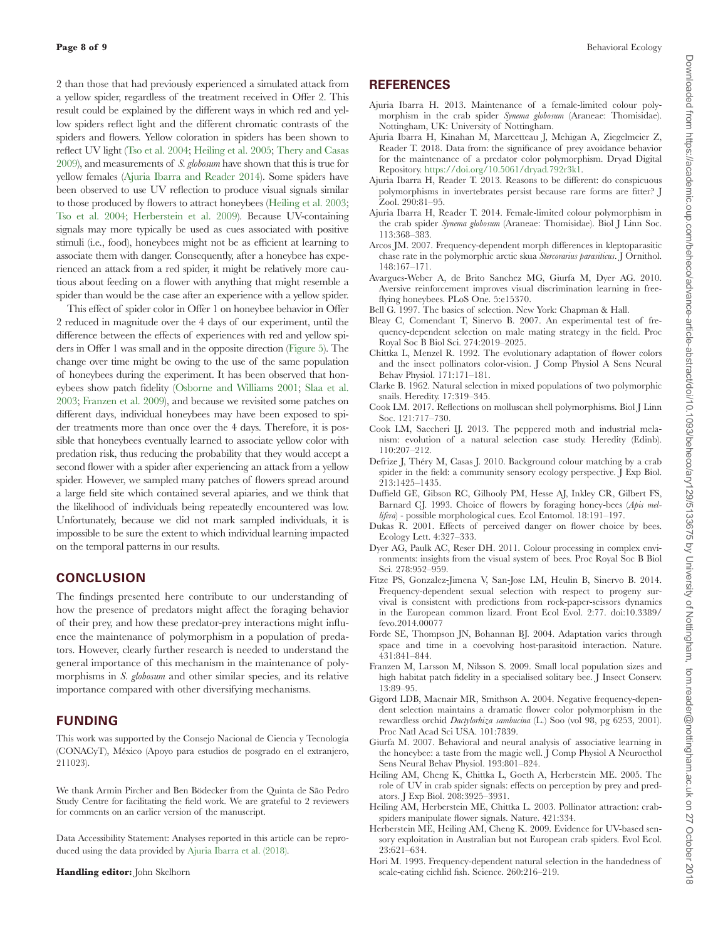2 than those that had previously experienced a simulated attack from a yellow spider, regardless of the treatment received in Offer 2. This result could be explained by the different ways in which red and yellow spiders reflect light and the different chromatic contrasts of the spiders and flowers. Yellow coloration in spiders has been shown to reflect UV light ([Tso et al. 2004](#page-8-11); [Heiling et al. 2005](#page-7-21); [Thery and Casas](#page-8-5)  [2009](#page-8-5)), and measurements of *S. globosum* have shown that this is true for yellow females [\(Ajuria Ibarra and Reader 2014\)](#page-7-5). Some spiders have been observed to use UV reflection to produce visual signals similar to those produced by flowers to attract honeybees ([Heiling et al. 2003](#page-7-16); [Tso et al. 2004](#page-8-11); [Herberstein et al. 2009\)](#page-7-22). Because UV-containing signals may more typically be used as cues associated with positive stimuli (i.e., food), honeybees might not be as efficient at learning to associate them with danger. Consequently, after a honeybee has experienced an attack from a red spider, it might be relatively more cautious about feeding on a flower with anything that might resemble a spider than would be the case after an experience with a yellow spider.

This effect of spider color in Offer 1 on honeybee behavior in Offer 2 reduced in magnitude over the 4 days of our experiment, until the difference between the effects of experiences with red and yellow spiders in Offer 1 was small and in the opposite direction [\(Figure 5](#page-6-1)). The change over time might be owing to the use of the same population of honeybees during the experiment. It has been observed that honeybees show patch fidelity [\(Osborne and Williams 2001;](#page-8-22) [Slaa et al.](#page-8-23)  [2003](#page-8-23); [Franzen et al. 2009\)](#page-7-23), and because we revisited some patches on different days, individual honeybees may have been exposed to spider treatments more than once over the 4 days. Therefore, it is possible that honeybees eventually learned to associate yellow color with predation risk, thus reducing the probability that they would accept a second flower with a spider after experiencing an attack from a yellow spider. However, we sampled many patches of flowers spread around a large field site which contained several apiaries, and we think that the likelihood of individuals being repeatedly encountered was low. Unfortunately, because we did not mark sampled individuals, it is impossible to be sure the extent to which individual learning impacted on the temporal patterns in our results.

# **CONCLUSION**

The findings presented here contribute to our understanding of how the presence of predators might affect the foraging behavior of their prey, and how these predator-prey interactions might influence the maintenance of polymorphism in a population of predators. However, clearly further research is needed to understand the general importance of this mechanism in the maintenance of polymorphisms in *S. globosum* and other similar species, and its relative importance compared with other diversifying mechanisms.

## **FUNDING**

This work was supported by the Consejo Nacional de Ciencia y Tecnología (CONACyT), México (Apoyo para estudios de posgrado en el extranjero, 211023).

We thank Armin Pircher and Ben Bödecker from the Quinta de São Pedro Study Centre for facilitating the field work. We are grateful to 2 reviewers for comments on an earlier version of the manuscript.

Data Accessibility Statement: Analyses reported in this article can be reproduced using the data provided by [Ajuria Ibarra et al. \(2018\)](#page-7-24).

**Handling editor:** John Skelhorn

## **REFERENCES**

- <span id="page-7-6"></span>Ajuria Ibarra H. 2013. Maintenance of a female-limited colour polymorphism in the crab spider *Synema globosum* (Araneae: Thomisidae). Nottingham, UK: University of Nottingham.
- <span id="page-7-24"></span>Ajuria Ibarra H, Kinahan M, Marcetteau J, Mehigan A, Ziegelmeier Z, Reader T. 2018. Data from: the significance of prey avoidance behavior for the maintenance of a predator color polymorphism. Dryad Digital Repository. <https://doi.org/10.5061/dryad.792r3k1>.
- <span id="page-7-0"></span>Ajuria Ibarra H, Reader T. 2013. Reasons to be different: do conspicuous polymorphisms in invertebrates persist because rare forms are fitter? J Zool. 290:81–95.
- <span id="page-7-5"></span>Ajuria Ibarra H, Reader T. 2014. Female-limited colour polymorphism in the crab spider *Synema globosum* (Araneae: Thomisidae). Biol J Linn Soc. 113:368–383.
- <span id="page-7-10"></span>Arcos JM. 2007. Frequency-dependent morph differences in kleptoparasitic chase rate in the polymorphic arctic skua *Stercorarius parasiticus*. J Ornithol. 148:167–171.
- <span id="page-7-14"></span>Avargues-Weber A, de Brito Sanchez MG, Giurfa M, Dyer AG. 2010. Aversive reinforcement improves visual discrimination learning in freeflying honeybees. PLoS One. 5:e15370.
- <span id="page-7-7"></span>Bell G. 1997. The basics of selection. New York: Chapman & Hall.
- <span id="page-7-19"></span>Bleay C, Comendant T, Sinervo B. 2007. An experimental test of frequency-dependent selection on male mating strategy in the field. Proc Royal Soc B Biol Sci. 274:2019–2025.
- <span id="page-7-11"></span>Chittka L, Menzel R. 1992. The evolutionary adaptation of flower colors and the insect pollinators color-vision. J Comp Physiol A Sens Neural Behav Physiol. 171:171–181.
- <span id="page-7-3"></span>Clarke B. 1962. Natural selection in mixed populations of two polymorphic snails. Heredity. 17:319–345.
- <span id="page-7-2"></span>Cook LM. 2017. Reflections on molluscan shell polymorphisms. Biol J Linn Soc. 121:717–730.
- <span id="page-7-1"></span>Cook LM, Saccheri IJ. 2013. The peppered moth and industrial melanism: evolution of a natural selection case study. Heredity (Edinb). 110:207–212.
- <span id="page-7-17"></span>Defrize J, Théry M, Casas J. 2010. Background colour matching by a crab spider in the field: a community sensory ecology perspective. J Exp Biol. 213:1425–1435.
- <span id="page-7-18"></span>Duffield GE, Gibson RC, Gilhooly PM, Hesse AJ, Inkley CR, Gilbert FS, Barnard CJ. 1993. Choice of flowers by foraging honey-bees (*Apis mellifera*) - possible morphological cues. Ecol Entomol. 18:191–197.
- <span id="page-7-15"></span>Dukas R. 2001. Effects of perceived danger on flower choice by bees. Ecology Lett. 4:327–333.
- <span id="page-7-12"></span>Dyer AG, Paulk AC, Reser DH. 2011. Colour processing in complex environments: insights from the visual system of bees. Proc Royal Soc B Biol Sci. 278:952–959.
- <span id="page-7-4"></span>Fitze PS, Gonzalez-Jimena V, San-Jose LM, Heulin B, Sinervo B. 2014. Frequency-dependent sexual selection with respect to progeny survival is consistent with predictions from rock-paper-scissors dynamics in the European common lizard. Front Ecol Evol. 2:77. doi:10.3389/ fevo.2014.00077
- <span id="page-7-8"></span>Forde SE, Thompson JN, Bohannan BJ. 2004. Adaptation varies through space and time in a coevolving host-parasitoid interaction. Nature. 431:841–844.
- <span id="page-7-23"></span>Franzen M, Larsson M, Nilsson S. 2009. Small local population sizes and high habitat patch fidelity in a specialised solitary bee. J Insect Conserv. 13:89–95.
- <span id="page-7-20"></span>Gigord LDB, Macnair MR, Smithson A. 2004. Negative frequency-dependent selection maintains a dramatic flower color polymorphism in the rewardless orchid *Dactylorhiza sambucina* (L.) Soo (vol 98, pg 6253, 2001). Proc Natl Acad Sci USA. 101:7839.
- <span id="page-7-13"></span>Giurfa M. 2007. Behavioral and neural analysis of associative learning in the honeybee: a taste from the magic well. J Comp Physiol A Neuroethol Sens Neural Behav Physiol. 193:801–824.
- <span id="page-7-21"></span>Heiling AM, Cheng K, Chittka L, Goeth A, Herberstein ME. 2005. The role of UV in crab spider signals: effects on perception by prey and predators. J Exp Biol. 208:3925–3931.
- <span id="page-7-16"></span>Heiling AM, Herberstein ME, Chittka L. 2003. Pollinator attraction: crabspiders manipulate flower signals. Nature. 421:334.
- <span id="page-7-22"></span>Herberstein ME, Heiling AM, Cheng K. 2009. Evidence for UV-based sensory exploitation in Australian but not European crab spiders. Evol Ecol. 23:621–634.
- <span id="page-7-9"></span>Hori M. 1993. Frequency-dependent natural selection in the handedness of scale-eating cichlid fish. Science. 260:216–219.